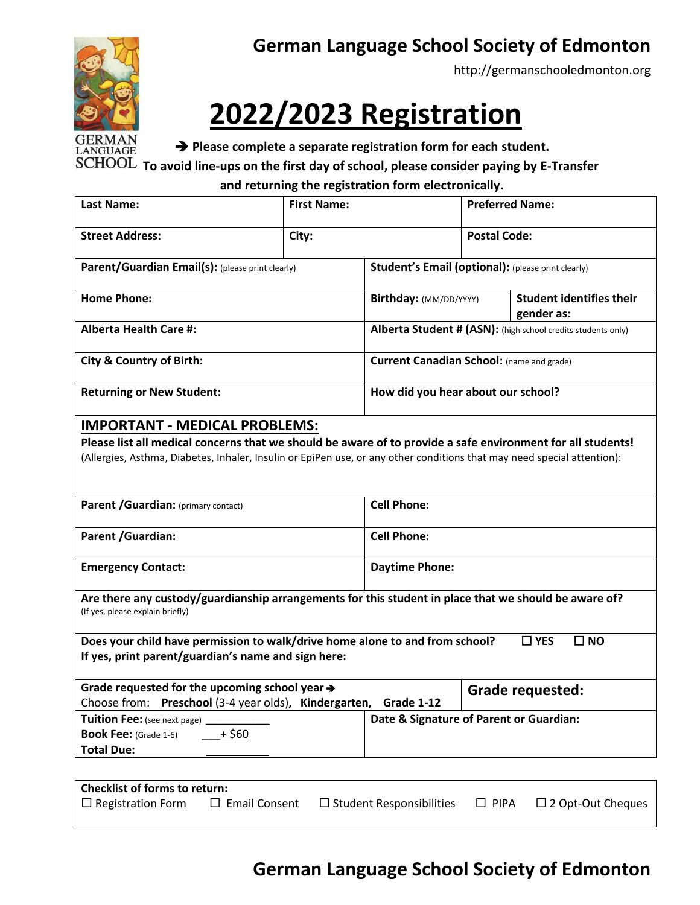

## **German Language School Society of Edmonton**

[http://germanschooledmonton.org](http://germanschooledmonton.org/)

# **2022/2023 Registration**

➔ **Please complete a separate registration form for each student.**

➔ **To avoid line-ups on the first day of school, please consider paying by E-Transfer**

#### **and returning the registration form electronically.**

| <b>Last Name:</b>                                                                                                                                                                                                                                                              | <b>First Name:</b> |                                                              | <b>Preferred Name:</b> |                                               |
|--------------------------------------------------------------------------------------------------------------------------------------------------------------------------------------------------------------------------------------------------------------------------------|--------------------|--------------------------------------------------------------|------------------------|-----------------------------------------------|
| <b>Street Address:</b>                                                                                                                                                                                                                                                         | City:              |                                                              | <b>Postal Code:</b>    |                                               |
| Parent/Guardian Email(s): (please print clearly)                                                                                                                                                                                                                               |                    | <b>Student's Email (optional):</b> (please print clearly)    |                        |                                               |
| <b>Home Phone:</b>                                                                                                                                                                                                                                                             |                    | Birthday: (MM/DD/YYYY)                                       |                        | <b>Student identifies their</b><br>gender as: |
| <b>Alberta Health Care #:</b>                                                                                                                                                                                                                                                  |                    | Alberta Student # (ASN): (high school credits students only) |                        |                                               |
| <b>City &amp; Country of Birth:</b>                                                                                                                                                                                                                                            |                    | <b>Current Canadian School:</b> (name and grade)             |                        |                                               |
| <b>Returning or New Student:</b>                                                                                                                                                                                                                                               |                    | How did you hear about our school?                           |                        |                                               |
| <b>IMPORTANT - MEDICAL PROBLEMS:</b><br>Please list all medical concerns that we should be aware of to provide a safe environment for all students!<br>(Allergies, Asthma, Diabetes, Inhaler, Insulin or EpiPen use, or any other conditions that may need special attention): |                    |                                                              |                        |                                               |
| Parent / Guardian: (primary contact)                                                                                                                                                                                                                                           |                    | <b>Cell Phone:</b>                                           |                        |                                               |
| Parent / Guardian:                                                                                                                                                                                                                                                             |                    | <b>Cell Phone:</b>                                           |                        |                                               |
| <b>Emergency Contact:</b>                                                                                                                                                                                                                                                      |                    | <b>Daytime Phone:</b>                                        |                        |                                               |
| Are there any custody/guardianship arrangements for this student in place that we should be aware of?<br>(If yes, please explain briefly)                                                                                                                                      |                    |                                                              |                        |                                               |
| Does your child have permission to walk/drive home alone to and from school?<br>$\Box$ YES<br>$\square$ NO<br>If yes, print parent/guardian's name and sign here:                                                                                                              |                    |                                                              |                        |                                               |
| Grade requested for the upcoming school year $\rightarrow$<br><b>Grade requested:</b><br>Choose from: Preschool (3-4 year olds), Kindergarten,<br>Grade 1-12                                                                                                                   |                    |                                                              |                        |                                               |
| Date & Signature of Parent or Guardian:<br>Tuition Fee: (see next page) _<br>$+$ \$60<br><b>Book Fee:</b> (Grade 1-6)<br><b>Total Due:</b>                                                                                                                                     |                    |                                                              |                        |                                               |
|                                                                                                                                                                                                                                                                                |                    |                                                              |                        |                                               |
| <b>Checklist of forms to return:</b><br>$\Box$ Registration Form<br>$\Box$ Student Responsibilities<br>$\Box$ Email Consent<br>$\Box$ PIPA<br>$\Box$ 2 Opt-Out Cheques                                                                                                         |                    |                                                              |                        |                                               |

### **German Language School Society of Edmonton**